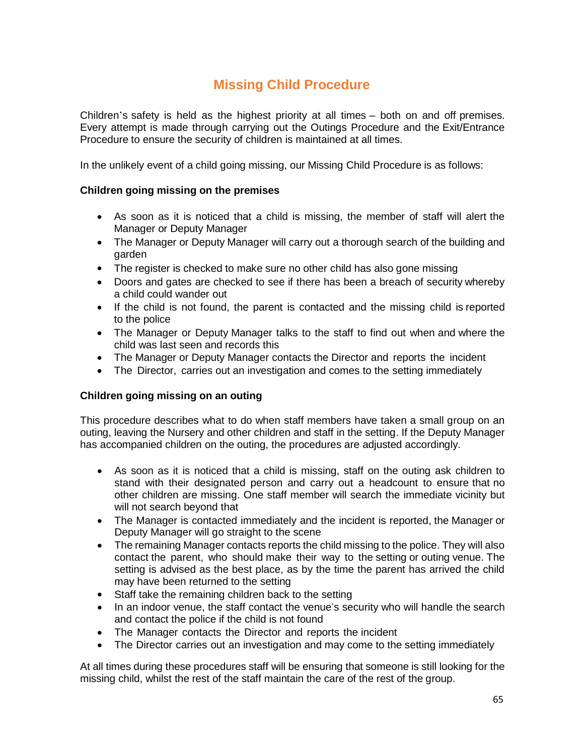# **Missing Child Procedure**

Children's safety is held as the highest priority at all times – both on and off premises. Every attempt is made through carrying out the Outings Procedure and the Exit/Entrance Procedure to ensure the security of children is maintained at all times.

In the unlikely event of a child going missing, our Missing Child Procedure is as follows:

## **Children going missing on the premises**

- As soon as it is noticed that a child is missing, the member of staff will alert the Manager or Deputy Manager
- The Manager or Deputy Manager will carry out a thorough search of the building and garden
- The register is checked to make sure no other child has also gone missing
- Doors and gates are checked to see if there has been a breach of security whereby a child could wander out
- If the child is not found, the parent is contacted and the missing child is reported to the police
- The Manager or Deputy Manager talks to the staff to find out when and where the child was last seen and records this
- The Manager or Deputy Manager contacts the Director and reports the incident
- The Director, carries out an investigation and comes to the setting immediately

## **Children going missing on an outing**

This procedure describes what to do when staff members have taken a small group on an outing, leaving the Nursery and other children and staff in the setting. If the Deputy Manager has accompanied children on the outing, the procedures are adjusted accordingly.

- As soon as it is noticed that a child is missing, staff on the outing ask children to stand with their designated person and carry out a headcount to ensure that no other children are missing. One staff member will search the immediate vicinity but will not search beyond that
- The Manager is contacted immediately and the incident is reported, the Manager or Deputy Manager will go straight to the scene
- The remaining Manager contacts reports the child missing to the police. They will also contact the parent, who should make their way to the setting or outing venue. The setting is advised as the best place, as by the time the parent has arrived the child may have been returned to the setting
- Staff take the remaining children back to the setting
- In an indoor venue, the staff contact the venue's security who will handle the search and contact the police if the child is not found
- The Manager contacts the Director and reports the incident
- The Director carries out an investigation and may come to the setting immediately

At all times during these procedures staff will be ensuring that someone is still looking for the missing child, whilst the rest of the staff maintain the care of the rest of the group.